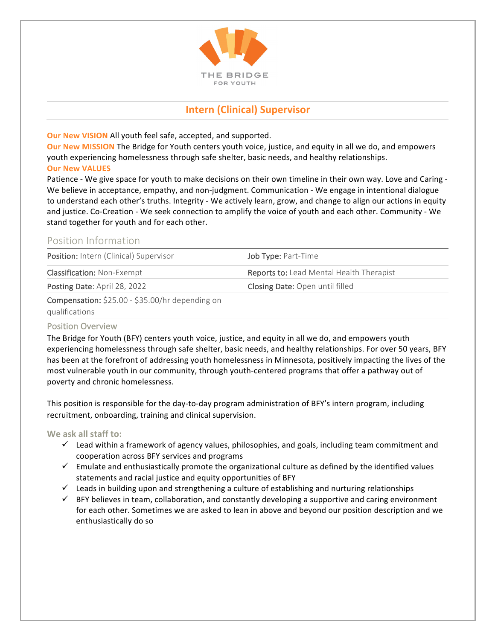

# **Intern (Clinical) Supervisor**

**Our New VISION** All youth feel safe, accepted, and supported.

**Our New MISSION** The Bridge for Youth centers youth voice, justice, and equity in all we do, and empowers youth experiencing homelessness through safe shelter, basic needs, and healthy relationships. **Our New VALUES** 

Patience - We give space for youth to make decisions on their own timeline in their own way. Love and Caring -We believe in acceptance, empathy, and non-judgment. Communication - We engage in intentional dialogue to understand each other's truths. Integrity - We actively learn, grow, and change to align our actions in equity and justice. Co-Creation - We seek connection to amplify the voice of youth and each other. Community - We stand together for youth and for each other.

## Position Information

| Position: Intern (Clinical) Supervisor                                                                                                                                                                                                         | <b>Job Type: Part-Time</b>               |
|------------------------------------------------------------------------------------------------------------------------------------------------------------------------------------------------------------------------------------------------|------------------------------------------|
| <b>Classification: Non-Exempt</b>                                                                                                                                                                                                              | Reports to: Lead Mental Health Therapist |
| Posting Date: April 28, 2022                                                                                                                                                                                                                   | <b>Closing Date: Open until filled</b>   |
| $\mathbf{A}$<br>and the contract of the contract of the contract of the contract of the contract of the contract of the contract of the contract of the contract of the contract of the contract of the contract of the contract of the contra |                                          |

#### **Compensation:**  $$25.00 - $35.00/hr$  depending on

qualifications

### Position Overview

The Bridge for Youth (BFY) centers youth voice, justice, and equity in all we do, and empowers youth experiencing homelessness through safe shelter, basic needs, and healthy relationships. For over 50 years, BFY has been at the forefront of addressing youth homelessness in Minnesota, positively impacting the lives of the most vulnerable youth in our community, through youth-centered programs that offer a pathway out of poverty and chronic homelessness.

This position is responsible for the day-to-day program administration of BFY's intern program, including recruitment, onboarding, training and clinical supervision.

### We ask all staff to:

- $\checkmark$  Lead within a framework of agency values, philosophies, and goals, including team commitment and cooperation across BFY services and programs
- $\checkmark$  Emulate and enthusiastically promote the organizational culture as defined by the identified values statements and racial justice and equity opportunities of BFY
- $\checkmark$  Leads in building upon and strengthening a culture of establishing and nurturing relationships
- $\checkmark$  BFY believes in team, collaboration, and constantly developing a supportive and caring environment for each other. Sometimes we are asked to lean in above and beyond our position description and we enthusiastically do so